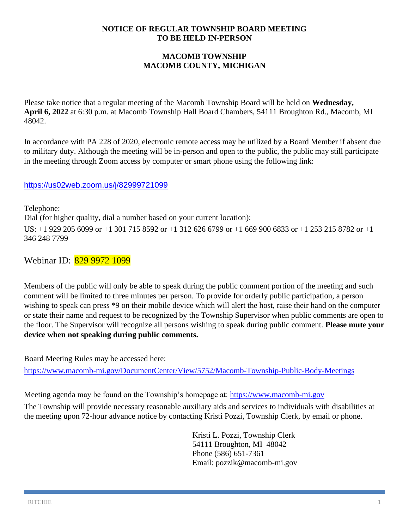#### **NOTICE OF REGULAR TOWNSHIP BOARD MEETING TO BE HELD IN-PERSON**

# **MACOMB TOWNSHIP MACOMB COUNTY, MICHIGAN**

Please take notice that a regular meeting of the Macomb Township Board will be held on **Wednesday, April 6, 2022** at 6:30 p.m. at Macomb Township Hall Board Chambers, 54111 Broughton Rd., Macomb, MI 48042.

In accordance with PA 228 of 2020, electronic remote access may be utilized by a Board Member if absent due to military duty. Although the meeting will be in-person and open to the public, the public may still participate in the meeting through Zoom access by computer or smart phone using the following link:

## <https://us02web.zoom.us/j/82999721099>

Telephone: Dial (for higher quality, dial a number based on your current location): US: +1 929 205 6099 or +1 301 715 8592 or +1 312 626 6799 or +1 669 900 6833 or +1 253 215 8782 or +1 346 248 7799

Webinar ID: 829 9972 1099

Members of the public will only be able to speak during the public comment portion of the meeting and such comment will be limited to three minutes per person. To provide for orderly public participation, a person wishing to speak can press \*9 on their mobile device which will alert the host, raise their hand on the computer or state their name and request to be recognized by the Township Supervisor when public comments are open to the floor. The Supervisor will recognize all persons wishing to speak during public comment. **Please mute your device when not speaking during public comments.**

Board Meeting Rules may be accessed here:

<https://www.macomb-mi.gov/DocumentCenter/View/5752/Macomb-Township-Public-Body-Meetings>

Meeting agenda may be found on the Township's homepage at: [https://www.macomb-mi.gov](https://www.macomb-mi.gov/)

The Township will provide necessary reasonable auxiliary aids and services to individuals with disabilities at the meeting upon 72-hour advance notice by contacting Kristi Pozzi, Township Clerk, by email or phone.

> Kristi L. Pozzi, Township Clerk 54111 Broughton, MI 48042 Phone (586) 651-7361 Email: pozzik@macomb-mi.gov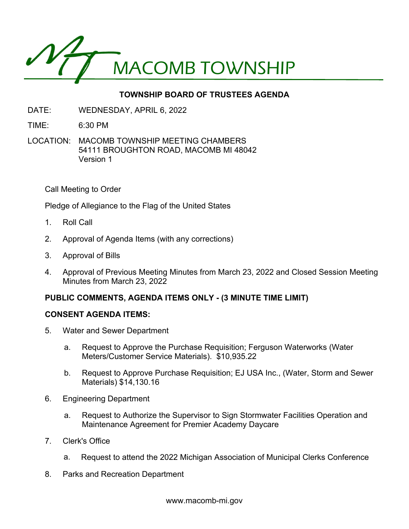

# **TOWNSHIP BOARD OF TRUSTEES AGENDA**

DATE: WEDNESDAY, APRIL 6, 2022

TIME: 6:30 PM

LOCATION: MACOMB TOWNSHIP MEETING CHAMBERS 54111 BROUGHTON ROAD, MACOMB MI 48042 Version 1

Call Meeting to Order

Pledge of Allegiance to the Flag of the United States

- 1. Roll Call
- 2. Approval of Agenda Items (with any corrections)
- 3. Approval of Bills
- 4. Approval of Previous Meeting Minutes from March 23, 2022 and Closed Session Meeting Minutes from March 23, 2022

## **PUBLIC COMMENTS, AGENDA ITEMS ONLY - (3 MINUTE TIME LIMIT)**

#### **CONSENT AGENDA ITEMS:**

- 5. Water and Sewer Department
	- a. Request to Approve the Purchase Requisition; Ferguson Waterworks (Water Meters/Customer Service Materials). \$10,935.22
	- b. Request to Approve Purchase Requisition; EJ USA Inc., (Water, Storm and Sewer Materials) \$14,130.16
- 6. Engineering Department
	- a. Request to Authorize the Supervisor to Sign Stormwater Facilities Operation and Maintenance Agreement for Premier Academy Daycare
- 7. Clerk's Office
	- a. Request to attend the 2022 Michigan Association of Municipal Clerks Conference
- 8. Parks and Recreation Department

www.macomb-mi.gov